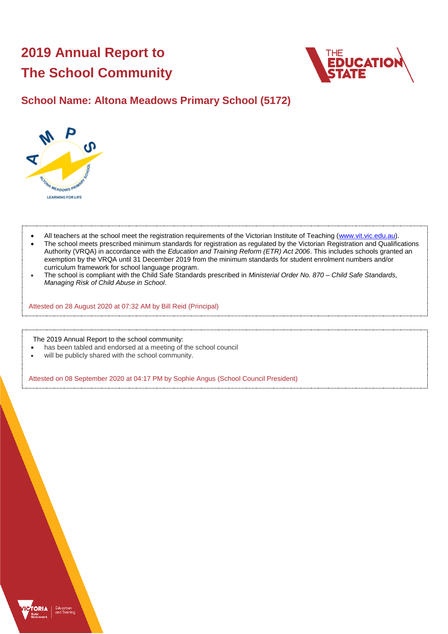# **2019 Annual Report to The School Community**



### **School Name: Altona Meadows Primary School (5172)**



- All teachers at the school meet the registration requirements of the Victorian Institute of Teaching [\(www.vit.vic.edu.au\)](https://www.vit.vic.edu.au/).
- The school meets prescribed minimum standards for registration as regulated by the Victorian Registration and Qualifications Authority (VRQA) in accordance with the *Education and Training Reform (ETR) Act 2006*. This includes schools granted an exemption by the VRQA until 31 December 2019 from the minimum standards for student enrolment numbers and/or curriculum framework for school language program.
- The school is compliant with the Child Safe Standards prescribed in *Ministerial Order No. 870 – Child Safe Standards, Managing Risk of Child Abuse in School*.

Attested on 28 August 2020 at 07:32 AM by Bill Reid (Principal)

The 2019 Annual Report to the school community:

- has been tabled and endorsed at a meeting of the school council
- will be publicly shared with the school community.

Attested on 08 September 2020 at 04:17 PM by Sophie Angus (School Council President)

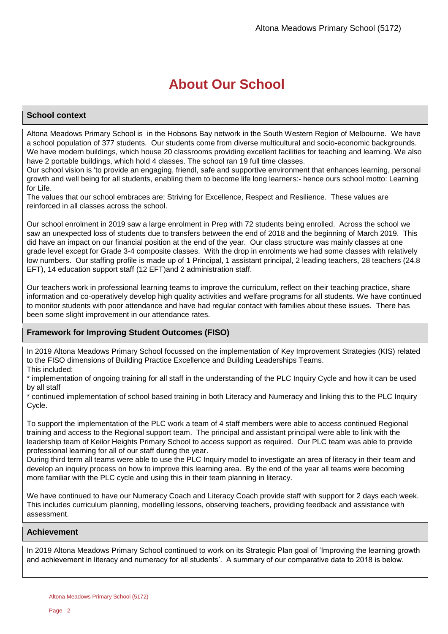# **About Our School**

### **School context**

Altona Meadows Primary School is in the Hobsons Bay network in the South Western Region of Melbourne. We have a school population of 377 students. Our students come from diverse multicultural and socio-economic backgrounds. We have modern buildings, which house 20 classrooms providing excellent facilities for teaching and learning. We also have 2 portable buildings, which hold 4 classes. The school ran 19 full time classes.

Our school vision is 'to provide an engaging, friendl, safe and supportive environment that enhances learning, personal growth and well being for all students, enabling them to become life long learners:- hence ours school motto: Learning for Life.

The values that our school embraces are: Striving for Excellence, Respect and Resilience. These values are reinforced in all classes across the school.

Our school enrolment in 2019 saw a large enrolment in Prep with 72 students being enrolled. Across the school we saw an unexpected loss of students due to transfers between the end of 2018 and the beginning of March 2019. This did have an impact on our financial position at the end of the year. Our class structure was mainly classes at one grade level except for Grade 3-4 composite classes. With the drop in enrolments we had some classes with relatively low numbers. Our staffing profile is made up of 1 Principal, 1 assistant principal, 2 leading teachers, 28 teachers (24.8 EFT), 14 education support staff (12 EFT)and 2 administration staff.

Our teachers work in professional learning teams to improve the curriculum, reflect on their teaching practice, share information and co-operatively develop high quality activities and welfare programs for all students. We have continued to monitor students with poor attendance and have had regular contact with families about these issues. There has been some slight improvement in our attendance rates.

### **Framework for Improving Student Outcomes (FISO)**

In 2019 Altona Meadows Primary School focussed on the implementation of Key Improvement Strategies (KIS) related to the FISO dimensions of Building Practice Excellence and Building Leaderships Teams. This included:

\* implementation of ongoing training for all staff in the understanding of the PLC Inquiry Cycle and how it can be used by all staff

\* continued implementation of school based training in both Literacy and Numeracy and linking this to the PLC Inquiry Cycle.

To support the implementation of the PLC work a team of 4 staff members were able to access continued Regional training and access to the Regional support team. The principal and assistant principal were able to link with the leadership team of Keilor Heights Primary School to access support as required. Our PLC team was able to provide professional learning for all of our staff during the year.

During third term all teams were able to use the PLC Inquiry model to investigate an area of literacy in their team and develop an inquiry process on how to improve this learning area. By the end of the year all teams were becoming more familiar with the PLC cycle and using this in their team planning in literacy.

We have continued to have our Numeracy Coach and Literacy Coach provide staff with support for 2 days each week. This includes curriculum planning, modelling lessons, observing teachers, providing feedback and assistance with assessment.

### **Achievement**

In 2019 Altona Meadows Primary School continued to work on its Strategic Plan goal of 'Improving the learning growth and achievement in literacy and numeracy for all students'. A summary of our comparative data to 2018 is below.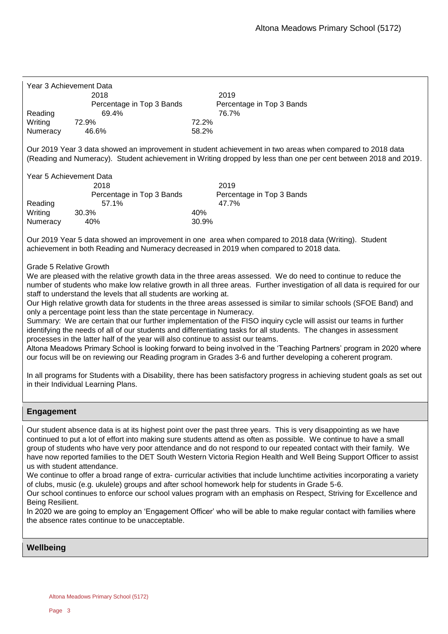| Year 3 Achievement Data |                           |                           |
|-------------------------|---------------------------|---------------------------|
|                         | 2018                      | 2019                      |
|                         | Percentage in Top 3 Bands | Percentage in Top 3 Bands |
| Reading                 | 69.4%                     | 76.7%                     |
| Writing                 | 72.9%                     | 72.2%                     |
| Numeracy                | 46.6%                     | 58.2%                     |

Our 2019 Year 3 data showed an improvement in student achievement in two areas when compared to 2018 data (Reading and Numeracy). Student achievement in Writing dropped by less than one per cent between 2018 and 2019.

Year 5 Achievement Data

|          | 2018                      |       | 2019                      |
|----------|---------------------------|-------|---------------------------|
|          | Percentage in Top 3 Bands |       | Percentage in Top 3 Bands |
| Reading  | 57.1%                     |       | 47.7%                     |
| Writing  | 30.3%                     | 40%   |                           |
| Numeracy | 40%                       | 30.9% |                           |

Our 2019 Year 5 data showed an improvement in one area when compared to 2018 data (Writing). Student achievement in both Reading and Numeracy decreased in 2019 when compared to 2018 data.

### Grade 5 Relative Growth

We are pleased with the relative growth data in the three areas assessed. We do need to continue to reduce the number of students who make low relative growth in all three areas. Further investigation of all data is required for our staff to understand the levels that all students are working at.

Our High relative growth data for students in the three areas assessed is similar to similar schools (SFOE Band) and only a percentage point less than the state percentage in Numeracy.

Summary: We are certain that our further implementation of the FISO inquiry cycle will assist our teams in further identifying the needs of all of our students and differentiating tasks for all students. The changes in assessment processes in the latter half of the year will also continue to assist our teams.

Altona Meadows Primary School is looking forward to being involved in the 'Teaching Partners' program in 2020 where our focus will be on reviewing our Reading program in Grades 3-6 and further developing a coherent program.

In all programs for Students with a Disability, there has been satisfactory progress in achieving student goals as set out in their Individual Learning Plans.

### **Engagement**

Our student absence data is at its highest point over the past three years. This is very disappointing as we have continued to put a lot of effort into making sure students attend as often as possible. We continue to have a small group of students who have very poor attendance and do not respond to our repeated contact with their family. We have now reported families to the DET South Western Victoria Region Health and Well Being Support Officer to assist us with student attendance.

We continue to offer a broad range of extra- curricular activities that include lunchtime activities incorporating a variety of clubs, music (e.g. ukulele) groups and after school homework help for students in Grade 5-6.

Our school continues to enforce our school values program with an emphasis on Respect, Striving for Excellence and Being Resilient.

In 2020 we are going to employ an 'Engagement Officer' who will be able to make regular contact with families where the absence rates continue to be unacceptable.

### **Wellbeing**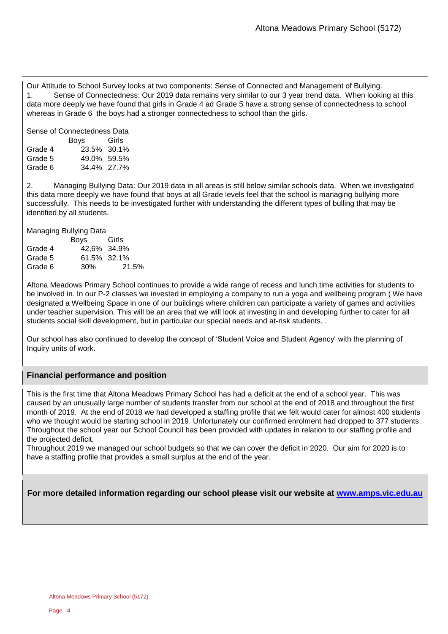Our Attitude to School Survey looks at two components: Sense of Connected and Management of Bullying. 1. Sense of Connectedness: Our 2019 data remains very similar to our 3 year trend data. When looking at this data more deeply we have found that girls in Grade 4 ad Grade 5 have a strong sense of connectedness to school whereas in Grade 6 the boys had a stronger connectedness to school than the girls.

| Sense of Connectedness Data |             |       |  |  |
|-----------------------------|-------------|-------|--|--|
|                             | Boys        | Girls |  |  |
| Grade 4                     | 23.5% 30.1% |       |  |  |
| Grade 5                     | 49.0% 59.5% |       |  |  |
| Grade 6                     | 34.4% 27.7% |       |  |  |

2. Managing Bullying Data: Our 2019 data in all areas is still below similar schools data. When we investigated this data more deeply we have found that boys at all Grade levels feel that the school is managing bullying more successfully. This needs to be investigated further with understanding the different types of bulling that may be identified by all students.

| Managing Bullying Data |             |       |  |  |
|------------------------|-------------|-------|--|--|
| Boys<br>Girls          |             |       |  |  |
| Grade 4                | 42,6% 34.9% |       |  |  |
| Grade 5                | 61.5% 32.1% |       |  |  |
| Grade 6                | 30%         | 21.5% |  |  |

Altona Meadows Primary School continues to provide a wide range of recess and lunch time activities for students to be involved in. In our P-2 classes we invested in employing a company to run a yoga and wellbeing program ( We have designated a Wellbeing Space in one of our buildings where children can participate a variety of games and activities under teacher supervision. This will be an area that we will look at investing in and developing further to cater for all students social skill development, but in particular our special needs and at-risk students. .

Our school has also continued to develop the concept of 'Student Voice and Student Agency' with the planning of Inquiry units of work.

### **Financial performance and position**

This is the first time that Altona Meadows Primary School has had a deficit at the end of a school year. This was caused by an unusually large number of students transfer from our school at the end of 2018 and throughout the first month of 2019. At the end of 2018 we had developed a staffing profile that we felt would cater for almost 400 students who we thought would be starting school in 2019. Unfortunately our confirmed enrolment had dropped to 377 students. Throughout the school year our School Council has been provided with updates in relation to our staffing profile and the projected deficit.

Throughout 2019 we managed our school budgets so that we can cover the deficit in 2020. Our aim for 2020 is to have a staffing profile that provides a small surplus at the end of the year.

**For more detailed information regarding our school please visit our website at [www.amps.vic.edu.au](file:///C:/Users/08049658/Downloads/www.amps.vic.edu.au)**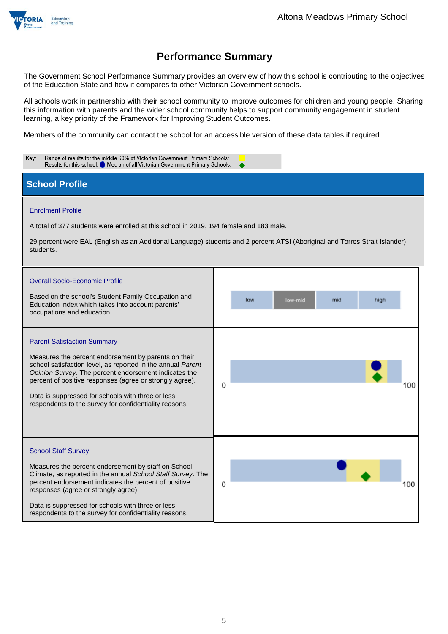

The Government School Performance Summary provides an overview of how this school is contributing to the objectives of the Education State and how it compares to other Victorian Government schools.

All schools work in partnership with their school community to improve outcomes for children and young people. Sharing this information with parents and the wider school community helps to support community engagement in student learning, a key priority of the Framework for Improving Student Outcomes.

Members of the community can contact the school for an accessible version of these data tables if required.

| Range of results for the middle 60% of Victorian Government Primary Schools:<br>Key:<br>Results for this school: O Median of all Victorian Government Primary Schools:                                                                                                                                                                                                                        |                               |  |  |  |
|-----------------------------------------------------------------------------------------------------------------------------------------------------------------------------------------------------------------------------------------------------------------------------------------------------------------------------------------------------------------------------------------------|-------------------------------|--|--|--|
| <b>School Profile</b>                                                                                                                                                                                                                                                                                                                                                                         |                               |  |  |  |
| <b>Enrolment Profile</b><br>A total of 377 students were enrolled at this school in 2019, 194 female and 183 male.<br>29 percent were EAL (English as an Additional Language) students and 2 percent ATSI (Aboriginal and Torres Strait Islander)<br>students.                                                                                                                                |                               |  |  |  |
| <b>Overall Socio-Economic Profile</b><br>Based on the school's Student Family Occupation and<br>Education index which takes into account parents'<br>occupations and education.                                                                                                                                                                                                               | high<br>low<br>low-mid<br>mid |  |  |  |
| <b>Parent Satisfaction Summary</b><br>Measures the percent endorsement by parents on their<br>school satisfaction level, as reported in the annual Parent<br>Opinion Survey. The percent endorsement indicates the<br>percent of positive responses (agree or strongly agree).<br>Data is suppressed for schools with three or less<br>respondents to the survey for confidentiality reasons. | 0<br>00                       |  |  |  |
| <b>School Staff Survey</b><br>Measures the percent endorsement by staff on School<br>Climate, as reported in the annual School Staff Survey. The<br>percent endorsement indicates the percent of positive<br>responses (agree or strongly agree).<br>Data is suppressed for schools with three or less<br>respondents to the survey for confidentiality reasons.                              | 0<br>100                      |  |  |  |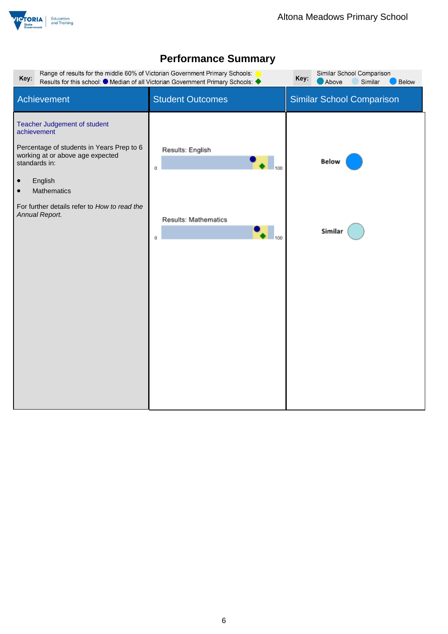

| Range of results for the middle 60% of Victorian Government Primary Schools:<br>Key:<br>Results for this school: ● Median of all Victorian Government Primary Schools: ◆                                                                                            | Similar School Comparison<br>Key:<br>Above<br>Similar<br><b>Below</b> |                                  |
|---------------------------------------------------------------------------------------------------------------------------------------------------------------------------------------------------------------------------------------------------------------------|-----------------------------------------------------------------------|----------------------------------|
| Achievement                                                                                                                                                                                                                                                         | <b>Student Outcomes</b>                                               | <b>Similar School Comparison</b> |
| Teacher Judgement of student<br>achievement<br>Percentage of students in Years Prep to 6<br>working at or above age expected<br>standards in:<br>English<br>$\bullet$<br>Mathematics<br>$\bullet$<br>For further details refer to How to read the<br>Annual Report. | Results: English<br>0<br>Results: Mathematics<br>100<br>0             | <b>Below</b><br>Similar          |
|                                                                                                                                                                                                                                                                     |                                                                       |                                  |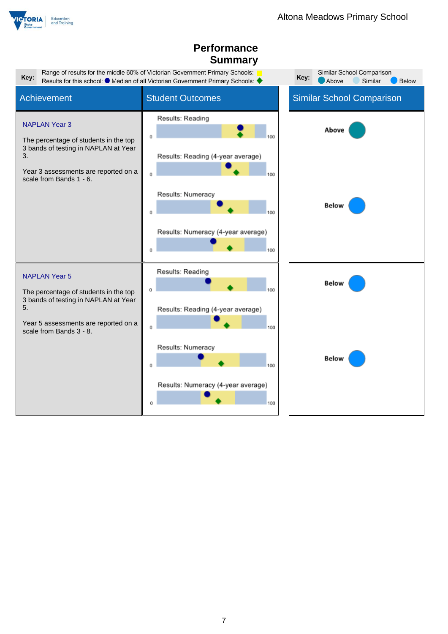

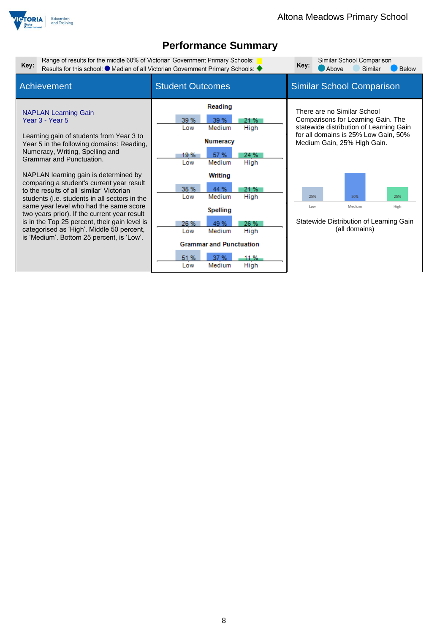

| Range of results for the middle 60% of Victorian Government Primary Schools:<br>Key:                                                                                                                                                                                                                                                                                                                                                                                                                                                                                                                                            | Results for this school: ● Median of all Victorian Government Primary Schools: ◆                                                                                                                                                                                                                                       | Similar School Comparison<br>Key:<br>Similar<br><b>Below</b><br>Above                                                                                                                                                                                                                         |
|---------------------------------------------------------------------------------------------------------------------------------------------------------------------------------------------------------------------------------------------------------------------------------------------------------------------------------------------------------------------------------------------------------------------------------------------------------------------------------------------------------------------------------------------------------------------------------------------------------------------------------|------------------------------------------------------------------------------------------------------------------------------------------------------------------------------------------------------------------------------------------------------------------------------------------------------------------------|-----------------------------------------------------------------------------------------------------------------------------------------------------------------------------------------------------------------------------------------------------------------------------------------------|
| <b>Achievement</b>                                                                                                                                                                                                                                                                                                                                                                                                                                                                                                                                                                                                              | <b>Student Outcomes</b>                                                                                                                                                                                                                                                                                                | <b>Similar School Comparison</b>                                                                                                                                                                                                                                                              |
| <b>NAPLAN Learning Gain</b><br>Year 3 - Year 5<br>Learning gain of students from Year 3 to<br>Year 5 in the following domains: Reading,<br>Numeracy, Writing, Spelling and<br>Grammar and Punctuation.<br>NAPLAN learning gain is determined by<br>comparing a student's current year result<br>to the results of all 'similar' Victorian<br>students (i.e. students in all sectors in the<br>same year level who had the same score<br>two years prior). If the current year result<br>is in the Top 25 percent, their gain level is<br>categorised as 'High'. Middle 50 percent,<br>is 'Medium'. Bottom 25 percent, is 'Low'. | Reading<br>39 %<br>39 %<br>21 %<br>High<br>Medium<br>Low<br><b>Numeracy</b><br>57 %<br>19 %<br>24 %<br>High<br>Medium<br>Low<br>Writing<br>35 %<br>44 %<br>21 %<br>Medium<br>High<br>Low<br><b>Spelling</b><br>26 %<br>26 %<br>49 %<br>Medium<br>High<br>Low<br><b>Grammar and Punctuation</b><br>37 %<br>51 %<br>11 % | There are no Similar School<br>Comparisons for Learning Gain. The<br>statewide distribution of Learning Gain<br>for all domains is 25% Low Gain, 50%<br>Medium Gain, 25% High Gain.<br>25%<br>50%<br>25%<br>Medium<br>High<br>Low<br>Statewide Distribution of Learning Gain<br>(all domains) |
|                                                                                                                                                                                                                                                                                                                                                                                                                                                                                                                                                                                                                                 | Medium<br>High<br>Low                                                                                                                                                                                                                                                                                                  |                                                                                                                                                                                                                                                                                               |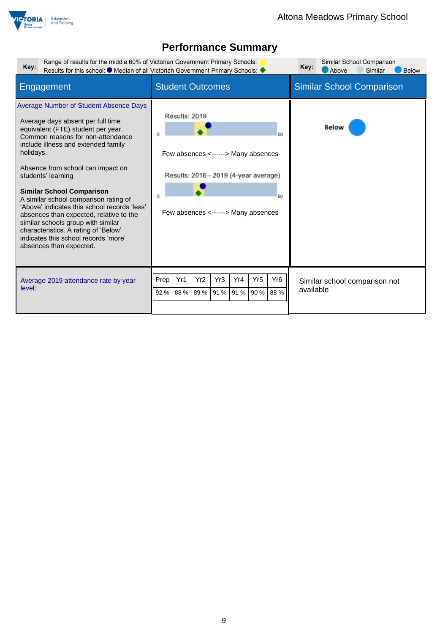

| Range of results for the middle 60% of Victorian Government Primary Schools:<br>Key:                                                                                                                                                                                                                                                                                                                                                                                                                                                                                                           | Results for this school: ● Median of all Victorian Government Primary Schools: ◆                                                                 | Similar School Comparison<br>Key:<br>Above<br>Similar<br><b>Below</b> |
|------------------------------------------------------------------------------------------------------------------------------------------------------------------------------------------------------------------------------------------------------------------------------------------------------------------------------------------------------------------------------------------------------------------------------------------------------------------------------------------------------------------------------------------------------------------------------------------------|--------------------------------------------------------------------------------------------------------------------------------------------------|-----------------------------------------------------------------------|
| Engagement                                                                                                                                                                                                                                                                                                                                                                                                                                                                                                                                                                                     | <b>Student Outcomes</b>                                                                                                                          | <b>Similar School Comparison</b>                                      |
| Average Number of Student Absence Days<br>Average days absent per full time<br>equivalent (FTE) student per year.<br>Common reasons for non-attendance<br>include illness and extended family<br>holidays.<br>Absence from school can impact on<br>students' learning<br><b>Similar School Comparison</b><br>A similar school comparison rating of<br>'Above' indicates this school records 'less'<br>absences than expected, relative to the<br>similar schools group with similar<br>characteristics. A rating of 'Below'<br>indicates this school records 'more'<br>absences than expected. | Results: 2019<br>50<br>Few absences <------> Many absences<br>Results: 2016 - 2019 (4-year average)<br>50<br>Few absences <------> Many absences | <b>Below</b>                                                          |
| Average 2019 attendance rate by year<br>level:                                                                                                                                                                                                                                                                                                                                                                                                                                                                                                                                                 | Yr <sub>2</sub><br>Yr <sub>5</sub><br>Yr <sub>6</sub><br>Prep<br>Yr1<br>Yr3<br>Yr4<br>88 % 89 %<br>91 %<br>88 %<br>92%<br>91 %<br>90 %           | Similar school comparison not<br>available                            |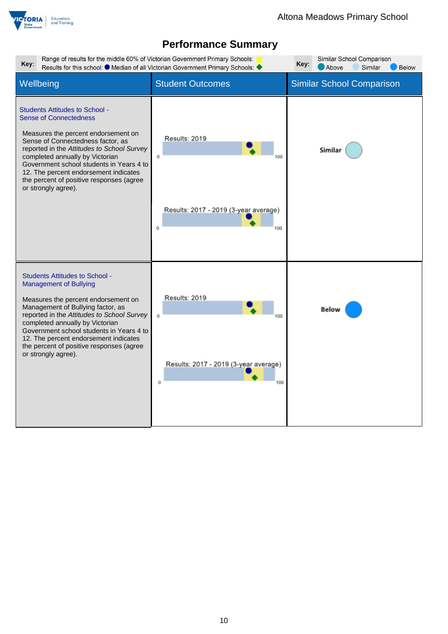

| Range of results for the middle 60% of Victorian Government Primary Schools:<br>Key:<br>Results for this school: $\bullet$ Median of all Victorian Government Primary Schools:                                                                                                                                                                                                              | Similar School Comparison<br>Key:<br>Above<br>Similar<br><b>Below</b>    |                                  |
|---------------------------------------------------------------------------------------------------------------------------------------------------------------------------------------------------------------------------------------------------------------------------------------------------------------------------------------------------------------------------------------------|--------------------------------------------------------------------------|----------------------------------|
| Wellbeing                                                                                                                                                                                                                                                                                                                                                                                   | <b>Student Outcomes</b>                                                  | <b>Similar School Comparison</b> |
| <b>Students Attitudes to School -</b><br><b>Sense of Connectedness</b><br>Measures the percent endorsement on<br>Sense of Connectedness factor, as<br>reported in the Attitudes to School Survey<br>completed annually by Victorian<br>Government school students in Years 4 to<br>12. The percent endorsement indicates<br>the percent of positive responses (agree<br>or strongly agree). | Results: 2019<br>Ü<br>Results: 2017 - 2019 (3-year average)<br>Ū.<br>100 | Similar                          |
| <b>Students Attitudes to School -</b><br><b>Management of Bullying</b><br>Measures the percent endorsement on<br>Management of Bullying factor, as<br>reported in the Attitudes to School Survey<br>completed annually by Victorian<br>Government school students in Years 4 to<br>12. The percent endorsement indicates<br>the percent of positive responses (agree<br>or strongly agree). | Results: 2019<br>Û<br>Results: 2017 - 2019 (3-year average)<br>Ŭ<br>100  | Below                            |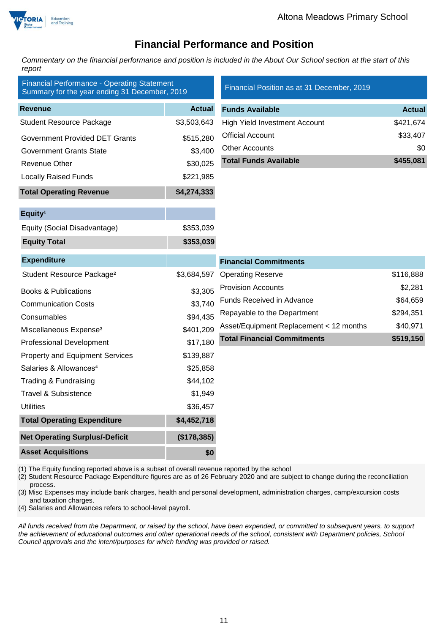

### **Financial Performance and Position**

*Commentary on the financial performance and position is included in the About Our School section at the start of this report*

| <b>Financial Performance - Operating Statement</b><br>Summary for the year ending 31 December, 2019 |               | Financial Position as at 31 December, 2019 |               |
|-----------------------------------------------------------------------------------------------------|---------------|--------------------------------------------|---------------|
| <b>Revenue</b>                                                                                      | <b>Actual</b> | <b>Funds Available</b>                     | <b>Actual</b> |
| <b>Student Resource Package</b>                                                                     | \$3,503,643   | <b>High Yield Investment Account</b>       | \$421,674     |
| <b>Government Provided DET Grants</b>                                                               | \$515,280     | <b>Official Account</b>                    | \$33,407      |
| Government Grants State                                                                             | \$3,400       | <b>Other Accounts</b>                      | \$0           |
| Revenue Other                                                                                       | \$30,025      | <b>Total Funds Available</b>               | \$455,081     |
| <b>Locally Raised Funds</b>                                                                         | \$221,985     |                                            |               |
| <b>Total Operating Revenue</b>                                                                      | \$4,274,333   |                                            |               |
| Equity <sup>1</sup>                                                                                 |               |                                            |               |
| Equity (Social Disadvantage)                                                                        | \$353,039     |                                            |               |
| <b>Equity Total</b>                                                                                 | \$353,039     |                                            |               |
| <b>Expenditure</b>                                                                                  |               | <b>Financial Commitments</b>               |               |
| Student Resource Package <sup>2</sup>                                                               | \$3,684,597   | <b>Operating Reserve</b>                   | \$116,888     |
| <b>Books &amp; Publications</b>                                                                     | \$3,305       | <b>Provision Accounts</b>                  | \$2,281       |
| <b>Communication Costs</b>                                                                          | \$3,740       | Funds Received in Advance                  | \$64,659      |
| Consumables                                                                                         | \$94,435      | Repayable to the Department                | \$294,351     |
| Miscellaneous Expense <sup>3</sup>                                                                  | \$401,209     | Asset/Equipment Replacement < 12 months    | \$40,971      |
| <b>Professional Development</b>                                                                     | \$17,180      | <b>Total Financial Commitments</b>         | \$519,150     |
| <b>Property and Equipment Services</b>                                                              | \$139,887     |                                            |               |
| Salaries & Allowances <sup>4</sup>                                                                  | \$25,858      |                                            |               |
| Trading & Fundraising                                                                               | \$44,102      |                                            |               |
| <b>Travel &amp; Subsistence</b>                                                                     | \$1,949       |                                            |               |
| Utilities                                                                                           | \$36,457      |                                            |               |
| <b>Total Operating Expenditure</b>                                                                  | \$4,452,718   |                                            |               |
| <b>Net Operating Surplus/-Deficit</b>                                                               | (\$178,385)   |                                            |               |
| <b>Asset Acquisitions</b>                                                                           | \$0           |                                            |               |

(1) The Equity funding reported above is a subset of overall revenue reported by the school

(2) Student Resource Package Expenditure figures are as of 26 February 2020 and are subject to change during the reconciliation process.

(3) Misc Expenses may include bank charges, health and personal development, administration charges, camp/excursion costs and taxation charges.

(4) Salaries and Allowances refers to school-level payroll.

*All funds received from the Department, or raised by the school, have been expended, or committed to subsequent years, to support the achievement of educational outcomes and other operational needs of the school, consistent with Department policies, School Council approvals and the intent/purposes for which funding was provided or raised.*